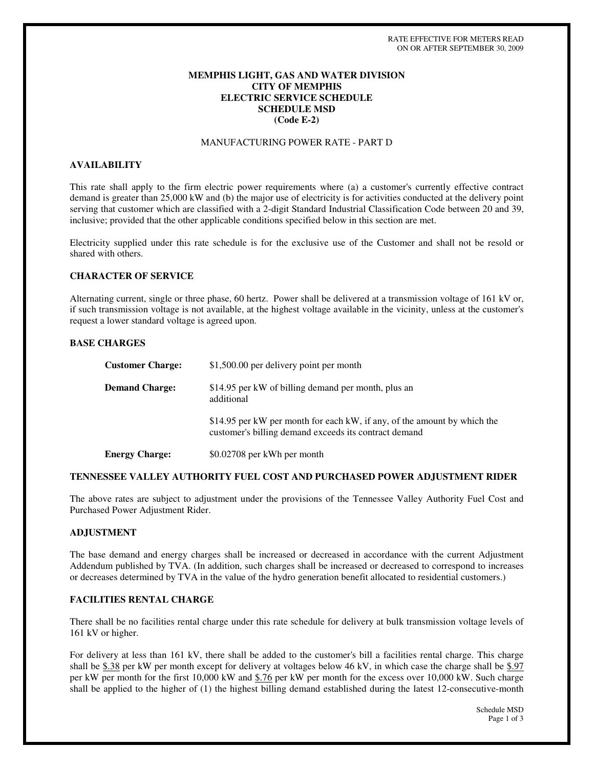# **MEMPHIS LIGHT, GAS AND WATER DIVISION CITY OF MEMPHIS ELECTRIC SERVICE SCHEDULE SCHEDULE MSD (Code E-2)**

## MANUFACTURING POWER RATE - PART D

## **AVAILABILITY**

This rate shall apply to the firm electric power requirements where (a) a customer's currently effective contract demand is greater than 25,000 kW and (b) the major use of electricity is for activities conducted at the delivery point serving that customer which are classified with a 2-digit Standard Industrial Classification Code between 20 and 39, inclusive; provided that the other applicable conditions specified below in this section are met.

Electricity supplied under this rate schedule is for the exclusive use of the Customer and shall not be resold or shared with others.

### **CHARACTER OF SERVICE**

Alternating current, single or three phase, 60 hertz. Power shall be delivered at a transmission voltage of 161 kV or, if such transmission voltage is not available, at the highest voltage available in the vicinity, unless at the customer's request a lower standard voltage is agreed upon.

### **BASE CHARGES**

| <b>Customer Charge:</b> | \$1,500.00 per delivery point per month                                                                                           |
|-------------------------|-----------------------------------------------------------------------------------------------------------------------------------|
| <b>Demand Charge:</b>   | \$14.95 per kW of billing demand per month, plus an<br>additional                                                                 |
|                         | \$14.95 per kW per month for each kW, if any, of the amount by which the<br>customer's billing demand exceeds its contract demand |
| <b>Energy Charge:</b>   | \$0.02708 per kWh per month                                                                                                       |

### **TENNESSEE VALLEY AUTHORITY FUEL COST AND PURCHASED POWER ADJUSTMENT RIDER**

The above rates are subject to adjustment under the provisions of the Tennessee Valley Authority Fuel Cost and Purchased Power Adjustment Rider.

## **ADJUSTMENT**

The base demand and energy charges shall be increased or decreased in accordance with the current Adjustment Addendum published by TVA. (In addition, such charges shall be increased or decreased to correspond to increases or decreases determined by TVA in the value of the hydro generation benefit allocated to residential customers.)

### **FACILITIES RENTAL CHARGE**

There shall be no facilities rental charge under this rate schedule for delivery at bulk transmission voltage levels of 161 kV or higher.

For delivery at less than 161 kV, there shall be added to the customer's bill a facilities rental charge. This charge shall be  $$.38$  per kW per month except for delivery at voltages below 46 kV, in which case the charge shall be  $$.97$ per kW per month for the first 10,000 kW and \$.76 per kW per month for the excess over 10,000 kW. Such charge shall be applied to the higher of (1) the highest billing demand established during the latest 12-consecutive-month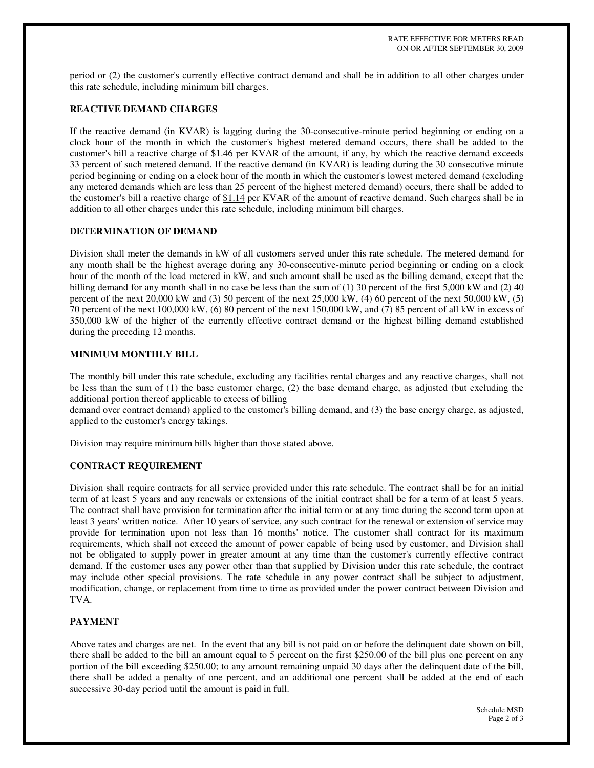period or (2) the customer's currently effective contract demand and shall be in addition to all other charges under this rate schedule, including minimum bill charges.

# **REACTIVE DEMAND CHARGES**

If the reactive demand (in KVAR) is lagging during the 30-consecutive-minute period beginning or ending on a clock hour of the month in which the customer's highest metered demand occurs, there shall be added to the customer's bill a reactive charge of \$1.46 per KVAR of the amount, if any, by which the reactive demand exceeds 33 percent of such metered demand. If the reactive demand (in KVAR) is leading during the 30 consecutive minute period beginning or ending on a clock hour of the month in which the customer's lowest metered demand (excluding any metered demands which are less than 25 percent of the highest metered demand) occurs, there shall be added to the customer's bill a reactive charge of \$1.14 per KVAR of the amount of reactive demand. Such charges shall be in addition to all other charges under this rate schedule, including minimum bill charges.

# **DETERMINATION OF DEMAND**

Division shall meter the demands in kW of all customers served under this rate schedule. The metered demand for any month shall be the highest average during any 30-consecutive-minute period beginning or ending on a clock hour of the month of the load metered in kW, and such amount shall be used as the billing demand, except that the billing demand for any month shall in no case be less than the sum of (1) 30 percent of the first 5,000 kW and (2) 40 percent of the next 20,000 kW and (3) 50 percent of the next 25,000 kW, (4) 60 percent of the next 50,000 kW, (5) 70 percent of the next 100,000 kW, (6) 80 percent of the next 150,000 kW, and (7) 85 percent of all kW in excess of 350,000 kW of the higher of the currently effective contract demand or the highest billing demand established during the preceding 12 months.

## **MINIMUM MONTHLY BILL**

The monthly bill under this rate schedule, excluding any facilities rental charges and any reactive charges, shall not be less than the sum of (1) the base customer charge, (2) the base demand charge, as adjusted (but excluding the additional portion thereof applicable to excess of billing

demand over contract demand) applied to the customer's billing demand, and (3) the base energy charge, as adjusted, applied to the customer's energy takings.

Division may require minimum bills higher than those stated above.

# **CONTRACT REQUIREMENT**

Division shall require contracts for all service provided under this rate schedule. The contract shall be for an initial term of at least 5 years and any renewals or extensions of the initial contract shall be for a term of at least 5 years. The contract shall have provision for termination after the initial term or at any time during the second term upon at least 3 years' written notice. After 10 years of service, any such contract for the renewal or extension of service may provide for termination upon not less than 16 months' notice. The customer shall contract for its maximum requirements, which shall not exceed the amount of power capable of being used by customer, and Division shall not be obligated to supply power in greater amount at any time than the customer's currently effective contract demand. If the customer uses any power other than that supplied by Division under this rate schedule, the contract may include other special provisions. The rate schedule in any power contract shall be subject to adjustment, modification, change, or replacement from time to time as provided under the power contract between Division and TVA.

# **PAYMENT**

Above rates and charges are net. In the event that any bill is not paid on or before the delinquent date shown on bill, there shall be added to the bill an amount equal to 5 percent on the first \$250.00 of the bill plus one percent on any portion of the bill exceeding \$250.00; to any amount remaining unpaid 30 days after the delinquent date of the bill, there shall be added a penalty of one percent, and an additional one percent shall be added at the end of each successive 30-day period until the amount is paid in full.